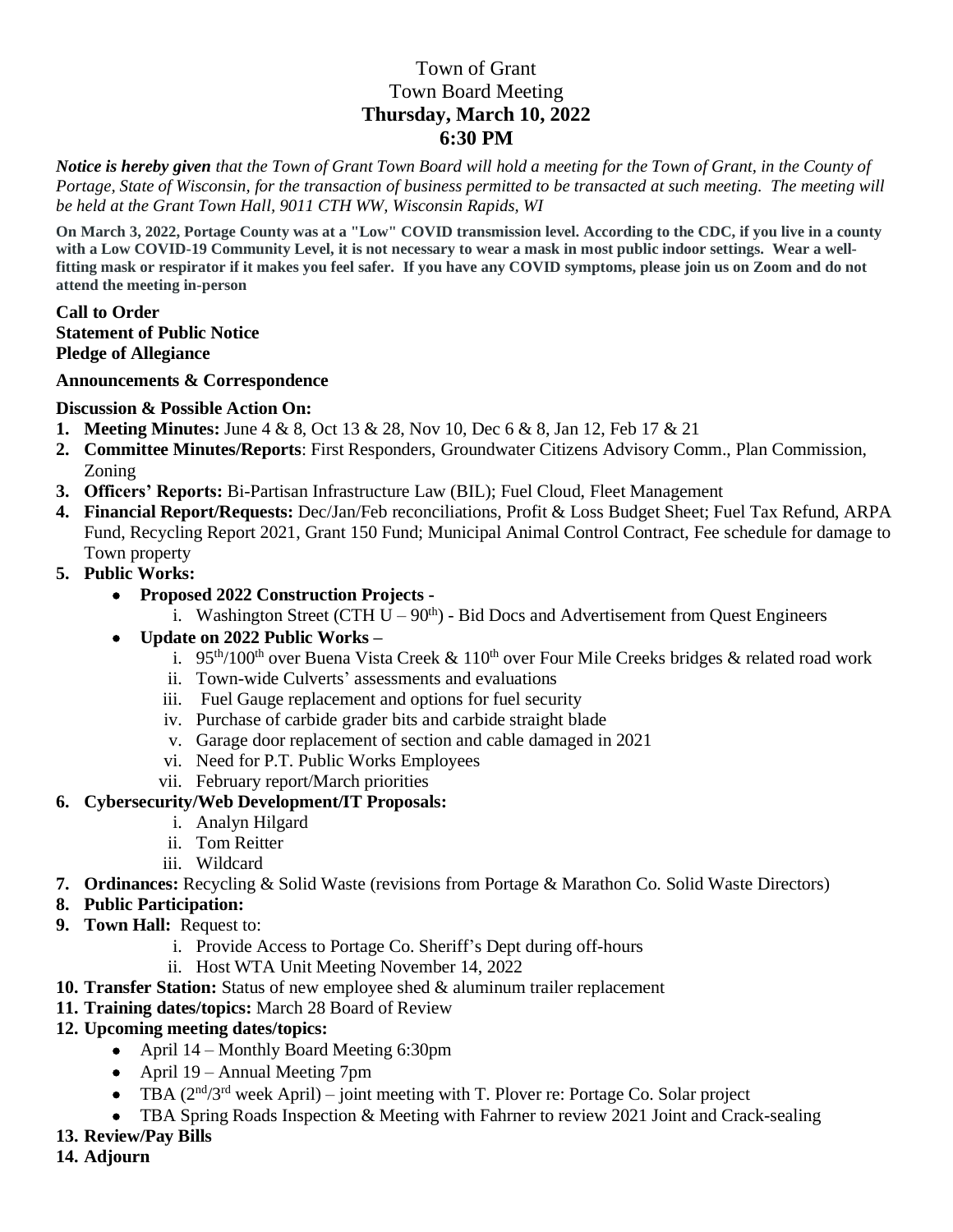# Town of Grant Town Board Meeting **Thursday, March 10, 2022 6:30 PM**

*Notice is hereby given that the Town of Grant Town Board will hold a meeting for the Town of Grant, in the County of Portage, State of Wisconsin, for the transaction of business permitted to be transacted at such meeting. The meeting will be held at the Grant Town Hall, 9011 CTH WW, Wisconsin Rapids, WI*

**On March 3, 2022, Portage County was at a "Low" COVID transmission level. According to the CDC, if you live in a county with a Low COVID-19 Community Level, it is not necessary to wear a mask in most public indoor settings. Wear a wellfitting mask or respirator if it makes you feel safer. If you have any COVID symptoms, please join us on Zoom and do not attend the meeting in-person**

### **Call to Order Statement of Public Notice Pledge of Allegiance**

### **Announcements & Correspondence**

### **Discussion & Possible Action On:**

- **1. Meeting Minutes:** June 4 & 8, Oct 13 & 28, Nov 10, Dec 6 & 8, Jan 12, Feb 17 & 21
- **2. Committee Minutes/Reports**: First Responders, Groundwater Citizens Advisory Comm., Plan Commission, Zoning
- **3. Officers' Reports:** Bi-Partisan Infrastructure Law (BIL); Fuel Cloud, Fleet Management
- **4. Financial Report/Requests:** Dec/Jan/Feb reconciliations, Profit & Loss Budget Sheet; Fuel Tax Refund, ARPA Fund, Recycling Report 2021, Grant 150 Fund; Municipal Animal Control Contract, Fee schedule for damage to Town property
- **5. Public Works:** 
	- **Proposed 2022 Construction Projects** 
		- i. Washington Street (CTH  $U 90<sup>th</sup>$ ) Bid Docs and Advertisement from Quest Engineers
	- **Update on 2022 Public Works –**
		- i. 95<sup>th</sup>/100<sup>th</sup> over Buena Vista Creek & 110<sup>th</sup> over Four Mile Creeks bridges & related road work
		- ii. Town-wide Culverts' assessments and evaluations
		- iii. Fuel Gauge replacement and options for fuel security
		- iv. Purchase of carbide grader bits and carbide straight blade
		- v. Garage door replacement of section and cable damaged in 2021
		- vi. Need for P.T. Public Works Employees
		- vii. February report/March priorities

## **6. Cybersecurity/Web Development/IT Proposals:**

- i. Analyn Hilgard
- ii. Tom Reitter
- iii. Wildcard
- **7. Ordinances:** Recycling & Solid Waste (revisions from Portage & Marathon Co. Solid Waste Directors)
- **8. Public Participation:**
- **9. Town Hall:** Request to:
	- i. Provide Access to Portage Co. Sheriff's Dept during off-hours
	- ii. Host WTA Unit Meeting November 14, 2022
- **10. Transfer Station:** Status of new employee shed & aluminum trailer replacement
- **11. Training dates/topics:** March 28 Board of Review
- **12. Upcoming meeting dates/topics:** 
	- April 14 Monthly Board Meeting 6:30pm
	- April 19 Annual Meeting 7pm
	- TBA  $(2<sup>nd</sup>/3<sup>rd</sup>$  week April) joint meeting with T. Plover re: Portage Co. Solar project
	- TBA Spring Roads Inspection & Meeting with Fahrner to review 2021 Joint and Crack-sealing
- **13. Review/Pay Bills**
- **14. Adjourn**